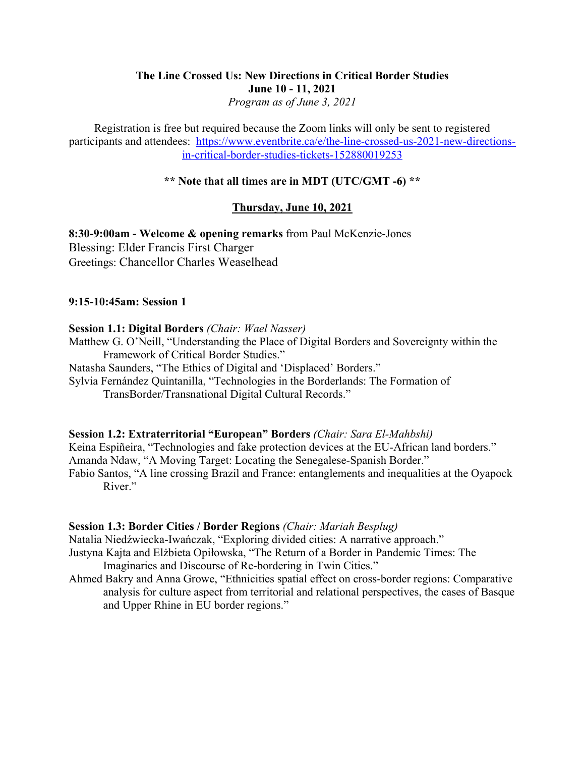# **The Line Crossed Us: New Directions in Critical Border Studies June 10 - 11, 2021** *Program as of June 3, 2021*

Registration is free but required because the Zoom links will only be sent to registered participants and attendees: https://www.eventbrite.ca/e/the-line-crossed-us-2021-new-directionsin-critical-border-studies-tickets-152880019253

# **\*\* Note that all times are in MDT (UTC/GMT -6) \*\***

# **Thursday, June 10, 2021**

**8:30-9:00am - Welcome & opening remarks** from Paul McKenzie-Jones Blessing: Elder Francis First Charger Greetings: Chancellor Charles Weaselhead

# **9:15-10:45am: Session 1**

#### **Session 1.1: Digital Borders** *(Chair: Wael Nasser)*

Matthew G. O'Neill, "Understanding the Place of Digital Borders and Sovereignty within the Framework of Critical Border Studies."

Natasha Saunders, "The Ethics of Digital and 'Displaced' Borders."

Sylvia Fernández Quintanilla, "Technologies in the Borderlands: The Formation of TransBorder/Transnational Digital Cultural Records."

# **Session 1.2: Extraterritorial "European" Borders** *(Chair: Sara El-Mahbshi)*

Keina Espiñeira, "Technologies and fake protection devices at the EU-African land borders." Amanda Ndaw, "A Moving Target: Locating the Senegalese-Spanish Border." Fabio Santos, "A line crossing Brazil and France: entanglements and inequalities at the Oyapock River."

#### **Session 1.3: Border Cities / Border Regions** *(Chair: Mariah Besplug)*

Natalia Niedźwiecka-Iwańczak, "Exploring divided cities: A narrative approach."

Justyna Kajta and Elżbieta Opiłowska, "The Return of a Border in Pandemic Times: The Imaginaries and Discourse of Re-bordering in Twin Cities."

Ahmed Bakry and Anna Growe, "Ethnicities spatial effect on cross-border regions: Comparative analysis for culture aspect from territorial and relational perspectives, the cases of Basque and Upper Rhine in EU border regions."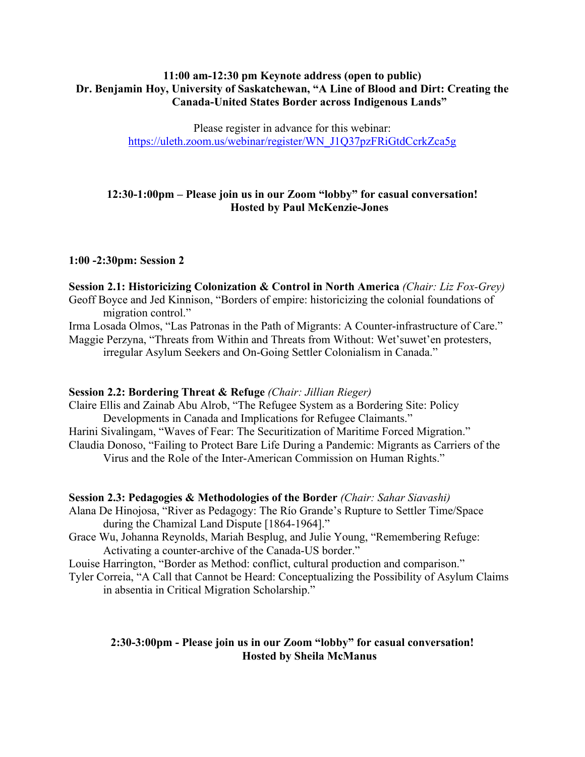# **11:00 am-12:30 pm Keynote address (open to public) Dr. Benjamin Hoy, University of Saskatchewan, "A Line of Blood and Dirt: Creating the Canada-United States Border across Indigenous Lands"**

Please register in advance for this webinar: https://uleth.zoom.us/webinar/register/WN\_J1Q37pzFRiGtdCcrkZca5g

# **12:30-1:00pm – Please join us in our Zoom "lobby" for casual conversation! Hosted by Paul McKenzie-Jones**

# **1:00 -2:30pm: Session 2**

**Session 2.1: Historicizing Colonization & Control in North America** *(Chair: Liz Fox-Grey)* Geoff Boyce and Jed Kinnison, "Borders of empire: historicizing the colonial foundations of migration control."

Irma Losada Olmos, "Las Patronas in the Path of Migrants: A Counter-infrastructure of Care." Maggie Perzyna, "Threats from Within and Threats from Without: Wet'suwet'en protesters, irregular Asylum Seekers and On-Going Settler Colonialism in Canada."

# **Session 2.2: Bordering Threat & Refuge** *(Chair: Jillian Rieger)*

Claire Ellis and Zainab Abu Alrob, "The Refugee System as a Bordering Site: Policy Developments in Canada and Implications for Refugee Claimants." Harini Sivalingam, "Waves of Fear: The Securitization of Maritime Forced Migration." Claudia Donoso, "Failing to Protect Bare Life During a Pandemic: Migrants as Carriers of the Virus and the Role of the Inter-American Commission on Human Rights."

#### **Session 2.3: Pedagogies & Methodologies of the Border** *(Chair: Sahar Siavashi)*

Alana De Hinojosa, "River as Pedagogy: The Río Grande's Rupture to Settler Time/Space during the Chamizal Land Dispute [1864-1964]."

Grace Wu, Johanna Reynolds, Mariah Besplug, and Julie Young, "Remembering Refuge: Activating a counter-archive of the Canada-US border."

Louise Harrington, "Border as Method: conflict, cultural production and comparison."

Tyler Correia, "A Call that Cannot be Heard: Conceptualizing the Possibility of Asylum Claims in absentia in Critical Migration Scholarship."

# **2:30-3:00pm - Please join us in our Zoom "lobby" for casual conversation! Hosted by Sheila McManus**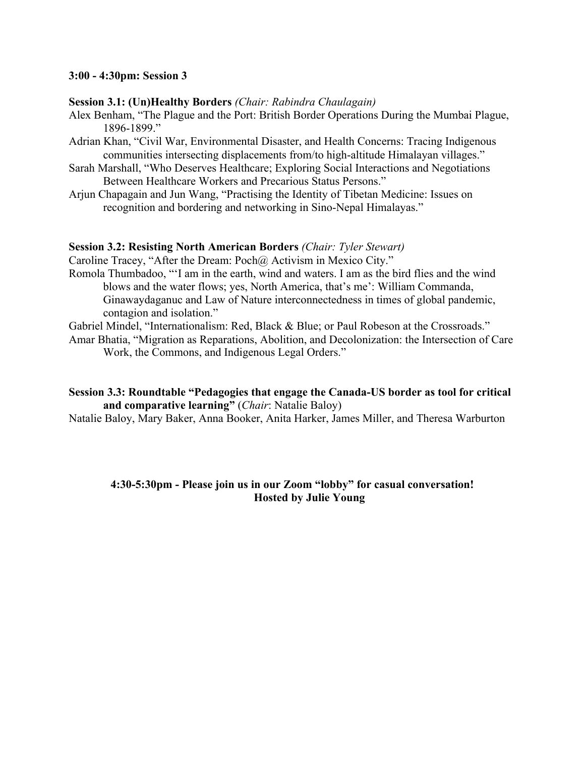#### **3:00 - 4:30pm: Session 3**

#### **Session 3.1: (Un)Healthy Borders** *(Chair: Rabindra Chaulagain)*

- Alex Benham, "The Plague and the Port: British Border Operations During the Mumbai Plague, 1896-1899."
- Adrian Khan, "Civil War, Environmental Disaster, and Health Concerns: Tracing Indigenous communities intersecting displacements from/to high-altitude Himalayan villages."
- Sarah Marshall, "Who Deserves Healthcare; Exploring Social Interactions and Negotiations Between Healthcare Workers and Precarious Status Persons."
- Arjun Chapagain and Jun Wang, "Practising the Identity of Tibetan Medicine: Issues on recognition and bordering and networking in Sino-Nepal Himalayas."

#### **Session 3.2: Resisting North American Borders** *(Chair: Tyler Stewart)*

Caroline Tracey, "After the Dream: Poch@ Activism in Mexico City."

- Romola Thumbadoo, "'I am in the earth, wind and waters. I am as the bird flies and the wind blows and the water flows; yes, North America, that's me': William Commanda, Ginawaydaganuc and Law of Nature interconnectedness in times of global pandemic, contagion and isolation."
- Gabriel Mindel, "Internationalism: Red, Black & Blue; or Paul Robeson at the Crossroads."

Amar Bhatia, "Migration as Reparations, Abolition, and Decolonization: the Intersection of Care Work, the Commons, and Indigenous Legal Orders."

# **Session 3.3: Roundtable "Pedagogies that engage the Canada-US border as tool for critical and comparative learning"** (*Chair*: Natalie Baloy)

Natalie Baloy, Mary Baker, Anna Booker, Anita Harker, James Miller, and Theresa Warburton

# **4:30-5:30pm - Please join us in our Zoom "lobby" for casual conversation! Hosted by Julie Young**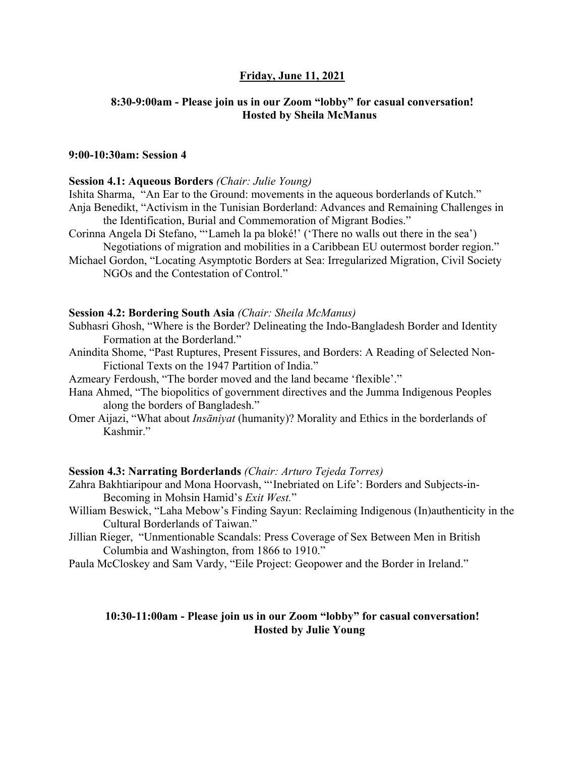# **Friday, June 11, 2021**

#### **8:30-9:00am - Please join us in our Zoom "lobby" for casual conversation! Hosted by Sheila McManus**

#### **9:00-10:30am: Session 4**

#### **Session 4.1: Aqueous Borders** *(Chair: Julie Young)*

- Ishita Sharma, "An Ear to the Ground: movements in the aqueous borderlands of Kutch."
- Anja Benedikt, "Activism in the Tunisian Borderland: Advances and Remaining Challenges in the Identification, Burial and Commemoration of Migrant Bodies."
- Corinna Angela Di Stefano, "'Lameh la pa bloké!' ('There no walls out there in the sea') Negotiations of migration and mobilities in a Caribbean EU outermost border region."
- Michael Gordon, "Locating Asymptotic Borders at Sea: Irregularized Migration, Civil Society NGOs and the Contestation of Control."

#### **Session 4.2: Bordering South Asia** *(Chair: Sheila McManus)*

- Subhasri Ghosh, "Where is the Border? Delineating the Indo-Bangladesh Border and Identity Formation at the Borderland."
- Anindita Shome, "Past Ruptures, Present Fissures, and Borders: A Reading of Selected Non-Fictional Texts on the 1947 Partition of India."
- Azmeary Ferdoush, "The border moved and the land became 'flexible'."
- Hana Ahmed, "The biopolitics of government directives and the Jumma Indigenous Peoples along the borders of Bangladesh."
- Omer Aijazi, "What about *Insāniyat* (humanity)? Morality and Ethics in the borderlands of Kashmir."

#### **Session 4.3: Narrating Borderlands** *(Chair: Arturo Tejeda Torres)*

- Zahra Bakhtiaripour and Mona Hoorvash, "'Inebriated on Life': Borders and Subjects-in-Becoming in Mohsin Hamid's *Exit West.*"
- William Beswick, "Laha Mebow's Finding Sayun: Reclaiming Indigenous (In)authenticity in the Cultural Borderlands of Taiwan."
- Jillian Rieger, "Unmentionable Scandals: Press Coverage of Sex Between Men in British Columbia and Washington, from 1866 to 1910."
- Paula McCloskey and Sam Vardy, "Eile Project: Geopower and the Border in Ireland."

#### **10:30-11:00am - Please join us in our Zoom "lobby" for casual conversation! Hosted by Julie Young**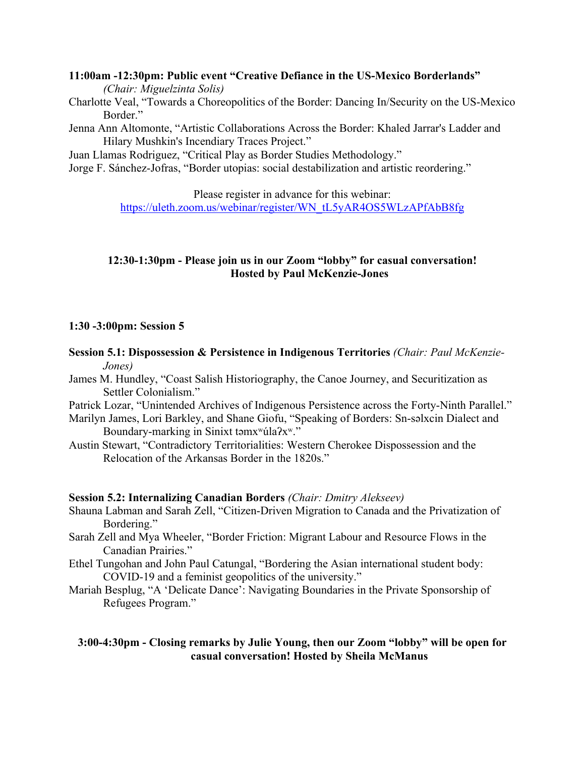# **11:00am -12:30pm: Public event "Creative Defiance in the US-Mexico Borderlands"**

*(Chair: Miguelzinta Solis)*

- Charlotte Veal, "Towards a Choreopolitics of the Border: Dancing In/Security on the US-Mexico Border."
- Jenna Ann Altomonte, "Artistic Collaborations Across the Border: Khaled Jarrar's Ladder and Hilary Mushkin's Incendiary Traces Project."

Juan Llamas Rodriguez, "Critical Play as Border Studies Methodology."

Jorge F. Sánchez-Jofras, "Border utopias: social destabilization and artistic reordering."

Please register in advance for this webinar:

https://uleth.zoom.us/webinar/register/WN\_tL5yAR4OS5WLzAPfAbB8fg

# **12:30-1:30pm - Please join us in our Zoom "lobby" for casual conversation! Hosted by Paul McKenzie-Jones**

# **1:30 -3:00pm: Session 5**

- **Session 5.1: Dispossession & Persistence in Indigenous Territories** *(Chair: Paul McKenzie-Jones)*
- James M. Hundley, "Coast Salish Historiography, the Canoe Journey, and Securitization as Settler Colonialism."
- Patrick Lozar, "Unintended Archives of Indigenous Persistence across the Forty-Ninth Parallel."
- Marilyn James, Lori Barkley, and Shane Giofu, "Speaking of Borders: Sn-səlxcin Dialect and Boundary-marking in Sinixt tamx<sup>w</sup>úla?x<sup>w</sup>."
- Austin Stewart, "Contradictory Territorialities: Western Cherokee Dispossession and the Relocation of the Arkansas Border in the 1820s."

# **Session 5.2: Internalizing Canadian Borders** *(Chair: Dmitry Alekseev)*

- Shauna Labman and Sarah Zell, "Citizen-Driven Migration to Canada and the Privatization of Bordering."
- Sarah Zell and Mya Wheeler, "Border Friction: Migrant Labour and Resource Flows in the Canadian Prairies."
- Ethel Tungohan and John Paul Catungal, "Bordering the Asian international student body: COVID-19 and a feminist geopolitics of the university."
- Mariah Besplug, "A 'Delicate Dance': Navigating Boundaries in the Private Sponsorship of Refugees Program."

# **3:00-4:30pm - Closing remarks by Julie Young, then our Zoom "lobby" will be open for casual conversation! Hosted by Sheila McManus**